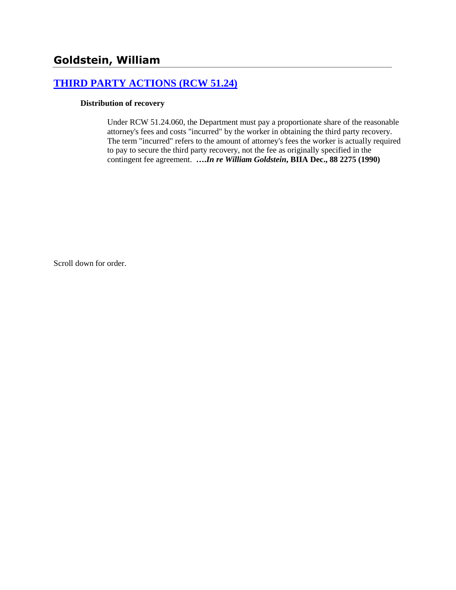# **[THIRD PARTY ACTIONS \(RCW 51.24\)](http://www.biia.wa.gov/SDSubjectIndex.html#THIRD_PARTY_ACTIONS)**

### **Distribution of recovery**

Under RCW 51.24.060, the Department must pay a proportionate share of the reasonable attorney's fees and costs "incurred" by the worker in obtaining the third party recovery. The term "incurred" refers to the amount of attorney's fees the worker is actually required to pay to secure the third party recovery, not the fee as originally specified in the contingent fee agreement. **….***In re William Goldstein***, BIIA Dec., 88 2275 (1990)** 

Scroll down for order.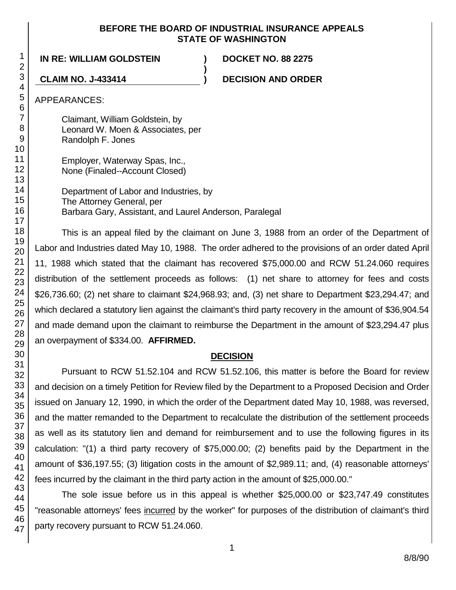### **BEFORE THE BOARD OF INDUSTRIAL INSURANCE APPEALS STATE OF WASHINGTON**

**)**

### **IN RE: WILLIAM GOLDSTEIN ) DOCKET NO. 88 2275**

**CLAIM NO. J-433414 ) DECISION AND ORDER**

APPEARANCES:

Claimant, William Goldstein, by Leonard W. Moen & Associates, per Randolph F. Jones

Employer, Waterway Spas, Inc., None (Finaled--Account Closed)

Department of Labor and Industries, by The Attorney General, per Barbara Gary, Assistant, and Laurel Anderson, Paralegal

This is an appeal filed by the claimant on June 3, 1988 from an order of the Department of Labor and Industries dated May 10, 1988. The order adhered to the provisions of an order dated April 11, 1988 which stated that the claimant has recovered \$75,000.00 and RCW 51.24.060 requires distribution of the settlement proceeds as follows: (1) net share to attorney for fees and costs \$26,736.60; (2) net share to claimant \$24,968.93; and, (3) net share to Department \$23,294.47; and which declared a statutory lien against the claimant's third party recovery in the amount of \$36,904.54 and made demand upon the claimant to reimburse the Department in the amount of \$23,294.47 plus an overpayment of \$334.00. **AFFIRMED.**

## **DECISION**

Pursuant to RCW 51.52.104 and RCW 51.52.106, this matter is before the Board for review and decision on a timely Petition for Review filed by the Department to a Proposed Decision and Order issued on January 12, 1990, in which the order of the Department dated May 10, 1988, was reversed, and the matter remanded to the Department to recalculate the distribution of the settlement proceeds as well as its statutory lien and demand for reimbursement and to use the following figures in its calculation: "(1) a third party recovery of \$75,000.00; (2) benefits paid by the Department in the amount of \$36,197.55; (3) litigation costs in the amount of \$2,989.11; and, (4) reasonable attorneys' fees incurred by the claimant in the third party action in the amount of \$25,000.00."

The sole issue before us in this appeal is whether \$25,000.00 or \$23,747.49 constitutes "reasonable attorneys' fees incurred by the worker" for purposes of the distribution of claimant's third party recovery pursuant to RCW 51.24.060.

1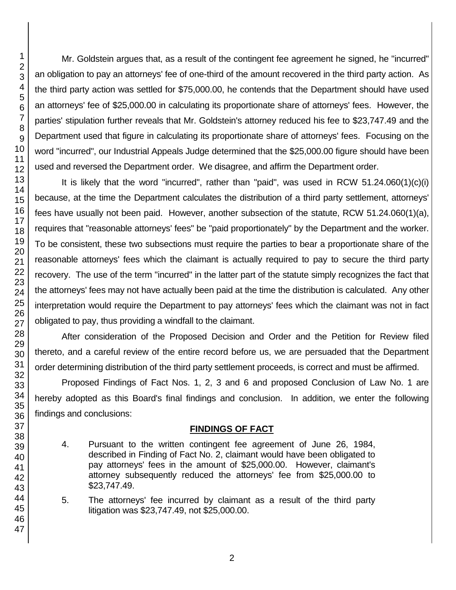Mr. Goldstein argues that, as a result of the contingent fee agreement he signed, he "incurred" an obligation to pay an attorneys' fee of one-third of the amount recovered in the third party action. As the third party action was settled for \$75,000.00, he contends that the Department should have used an attorneys' fee of \$25,000.00 in calculating its proportionate share of attorneys' fees. However, the parties' stipulation further reveals that Mr. Goldstein's attorney reduced his fee to \$23,747.49 and the Department used that figure in calculating its proportionate share of attorneys' fees. Focusing on the word "incurred", our Industrial Appeals Judge determined that the \$25,000.00 figure should have been used and reversed the Department order. We disagree, and affirm the Department order.

It is likely that the word "incurred", rather than "paid", was used in RCW 51.24.060(1)(c)(i) because, at the time the Department calculates the distribution of a third party settlement, attorneys' fees have usually not been paid. However, another subsection of the statute, RCW 51.24.060(1)(a), requires that "reasonable attorneys' fees" be "paid proportionately" by the Department and the worker. To be consistent, these two subsections must require the parties to bear a proportionate share of the reasonable attorneys' fees which the claimant is actually required to pay to secure the third party recovery. The use of the term "incurred" in the latter part of the statute simply recognizes the fact that the attorneys' fees may not have actually been paid at the time the distribution is calculated. Any other interpretation would require the Department to pay attorneys' fees which the claimant was not in fact obligated to pay, thus providing a windfall to the claimant.

After consideration of the Proposed Decision and Order and the Petition for Review filed thereto, and a careful review of the entire record before us, we are persuaded that the Department order determining distribution of the third party settlement proceeds, is correct and must be affirmed.

Proposed Findings of Fact Nos. 1, 2, 3 and 6 and proposed Conclusion of Law No. 1 are hereby adopted as this Board's final findings and conclusion. In addition, we enter the following findings and conclusions:

## **FINDINGS OF FACT**

- 4. Pursuant to the written contingent fee agreement of June 26, 1984, described in Finding of Fact No. 2, claimant would have been obligated to pay attorneys' fees in the amount of \$25,000.00. However, claimant's attorney subsequently reduced the attorneys' fee from \$25,000.00 to \$23,747.49.
- 5. The attorneys' fee incurred by claimant as a result of the third party litigation was \$23,747.49, not \$25,000.00.